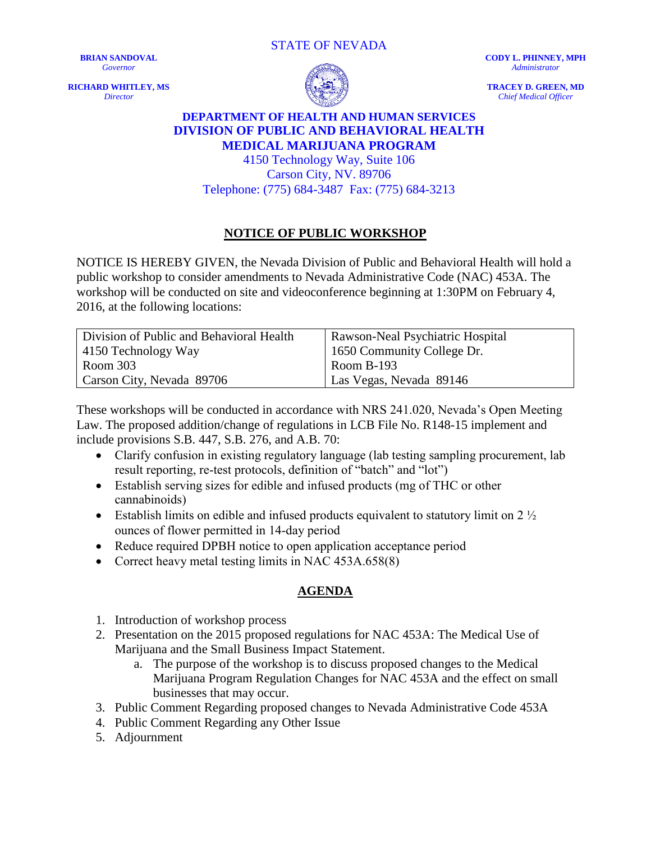STATE OF NEVADA

**BRIAN SANDOVAL** *Governor*

**RICHARD WHITLEY, MS** *Director*



**CODY L. PHINNEY, MPH** *Administrator*

**TRACEY D. GREEN, MD** *Chief Medical Officer*

## **DEPARTMENT OF HEALTH AND HUMAN SERVICES DIVISION OF PUBLIC AND BEHAVIORAL HEALTH MEDICAL MARIJUANA PROGRAM**

4150 Technology Way, Suite 106 Carson City, NV. 89706 Telephone: (775) 684-3487 Fax: (775) 684-3213

## **NOTICE OF PUBLIC WORKSHOP**

NOTICE IS HEREBY GIVEN, the Nevada Division of Public and Behavioral Health will hold a public workshop to consider amendments to Nevada Administrative Code (NAC) 453A. The workshop will be conducted on site and videoconference beginning at 1:30PM on February 4, 2016, at the following locations:

| Division of Public and Behavioral Health | Rawson-Neal Psychiatric Hospital |
|------------------------------------------|----------------------------------|
| 4150 Technology Way                      | 1650 Community College Dr.       |
| Room 303                                 | $\sqrt{2}$ Room B-193            |
| Carson City, Nevada 89706                | Las Vegas, Nevada 89146          |

These workshops will be conducted in accordance with NRS 241.020, Nevada's Open Meeting Law. The proposed addition/change of regulations in LCB File No. R148-15 implement and include provisions S.B. 447, S.B. 276, and A.B. 70:

- Clarify confusion in existing regulatory language (lab testing sampling procurement, lab result reporting, re-test protocols, definition of "batch" and "lot")
- Establish serving sizes for edible and infused products (mg of THC or other cannabinoids)
- Establish limits on edible and infused products equivalent to statutory limit on  $2\frac{1}{2}$ ounces of flower permitted in 14-day period
- Reduce required DPBH notice to open application acceptance period
- Correct heavy metal testing limits in NAC 453A.658(8)

## **AGENDA**

- 1. Introduction of workshop process
- 2. Presentation on the 2015 proposed regulations for NAC 453A: The Medical Use of Marijuana and the Small Business Impact Statement.
	- a. The purpose of the workshop is to discuss proposed changes to the Medical Marijuana Program Regulation Changes for NAC 453A and the effect on small businesses that may occur.
- 3. Public Comment Regarding proposed changes to Nevada Administrative Code 453A
- 4. Public Comment Regarding any Other Issue
- 5. Adjournment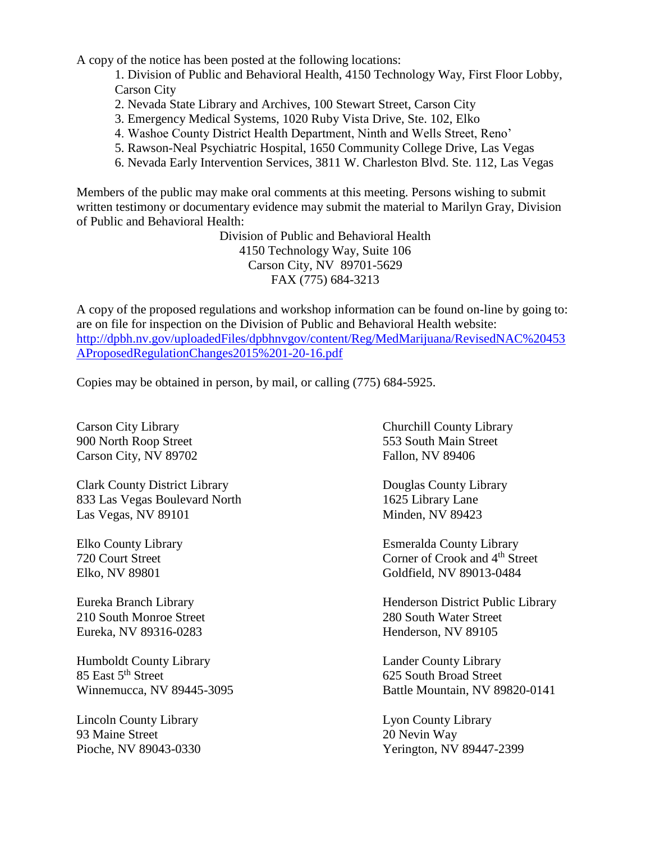A copy of the notice has been posted at the following locations:

1. Division of Public and Behavioral Health, 4150 Technology Way, First Floor Lobby, Carson City

- 2. Nevada State Library and Archives, 100 Stewart Street, Carson City
- 3. Emergency Medical Systems, 1020 Ruby Vista Drive, Ste. 102, Elko
- 4. Washoe County District Health Department, Ninth and Wells Street, Reno'
- 5. Rawson-Neal Psychiatric Hospital, 1650 Community College Drive, Las Vegas
- 6. Nevada Early Intervention Services, 3811 W. Charleston Blvd. Ste. 112, Las Vegas

Members of the public may make oral comments at this meeting. Persons wishing to submit written testimony or documentary evidence may submit the material to Marilyn Gray, Division of Public and Behavioral Health:

> Division of Public and Behavioral Health 4150 Technology Way, Suite 106 Carson City, NV 89701-5629 FAX (775) 684-3213

A copy of the proposed regulations and workshop information can be found on-line by going to: are on file for inspection on the Division of Public and Behavioral Health website: [http://dpbh.nv.gov/uploadedFiles/dpbhnvgov/content/Reg/MedMarijuana/RevisedNAC%20453](http://dpbh.nv.gov/uploadedFiles/dpbhnvgov/content/Reg/MedMarijuana/RevisedNAC%20453AProposedRegulationChanges2015%201-20-16.pdf) [AProposedRegulationChanges2015%201-20-16.pdf](http://dpbh.nv.gov/uploadedFiles/dpbhnvgov/content/Reg/MedMarijuana/RevisedNAC%20453AProposedRegulationChanges2015%201-20-16.pdf)

Copies may be obtained in person, by mail, or calling (775) 684-5925.

900 North Roop Street 553 South Main Street Carson City, NV 89702 Fallon, NV 89406

Clark County District Library Douglas County Library 833 Las Vegas Boulevard North 1625 Library Lane Las Vegas, NV 89101 Minden, NV 89423

210 South Monroe Street 280 South Water Street Eureka, NV 89316-0283 Henderson, NV 89105

Humboldt County Library Lander County Library 85 East 5<sup>th</sup> Street 625 South Broad Street

Lincoln County Library Lyon County Library 93 Maine Street 20 Nevin Way

Carson City Library Churchill County Library

Elko County Library Esmeralda County Library 720 Court Street Corner of Crook and 4<sup>th</sup> Street Elko, NV 89801 Goldfield, NV 89013-0484

Eureka Branch Library Henderson District Public Library

Winnemucca, NV 89445-3095 Battle Mountain, NV 89820-0141

Pioche, NV 89043-0330 Yerington, NV 89447-2399